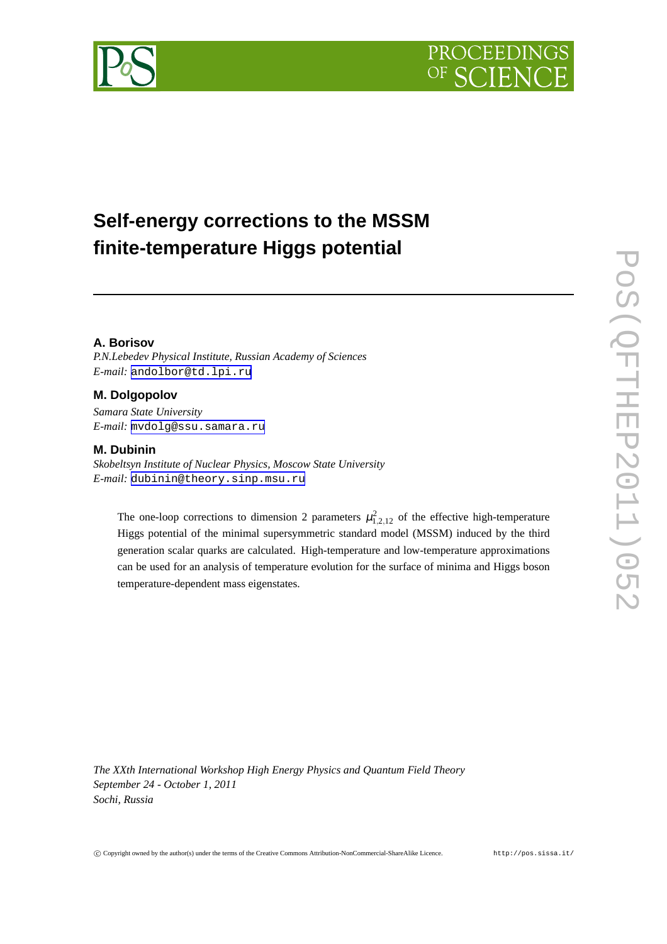



# **Self-energy corrections to the MSSM finite-temperature Higgs potential**

### **A. Borisov**

*P.N.Lebedev Physical Institute, Russian Academy of Sciences E-mail:* [andolbor@td.lpi.ru](mailto:andolbor@td.lpi.ru)

### **M. Dolgopolov**

*Samara State University E-mail:* [mvdolg@ssu.samara.ru](mailto:mvdolg@ssu.samara.ru)

#### **M. Dubinin**

*Skobeltsyn Institute of Nuclear Physics, Moscow State University E-mail:* [dubinin@theory.sinp.msu.ru](mailto:dubinin@theory.sinp.msu.ru)

The one-loop corrections to dimension 2 parameters  $\mu_{1,2,12}^2$  of the effective high-temperature Higgs potential of the minimal supersymmetric standard model (MSSM) induced by the third generation scalar quarks are calculated. High-temperature and low-temperature approximations can be used for an analysis of temperature evolution for the surface of minima and Higgs boson temperature-dependent mass eigenstates.

*The XXth International Workshop High Energy Physics and Quantum Field Theory September 24 - October 1, 2011 Sochi, Russia*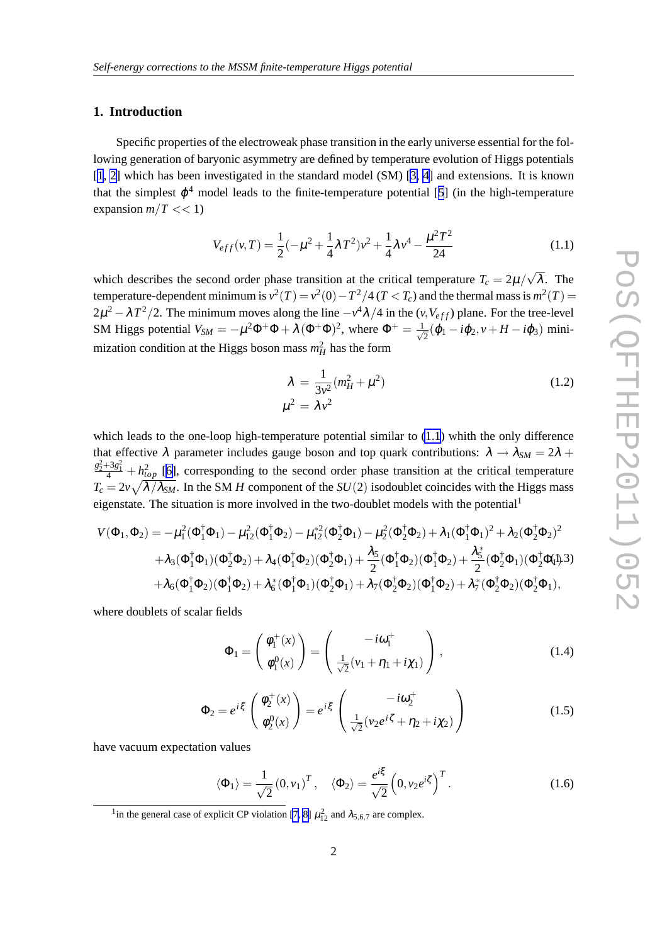### <span id="page-1-0"></span>**1. Introduction**

Specific properties of the electroweak phase transition in the early universe essential for the following generation of baryonic asymmetry are defined by temperature evolution of Higgs potentials [[1](#page-6-0), [2\]](#page-6-0) which has been investigated in the standard model (SM) [\[3, 4\]](#page-6-0) and extensions. It is known that the simplest  $\varphi^4$  model leads to the finite-temperature potential [[5](#page-6-0)] (in the high-temperature expansion  $m/T \ll 1$ )

$$
V_{eff}(v,T) = \frac{1}{2}(-\mu^2 + \frac{1}{4}\lambda T^2)v^2 + \frac{1}{4}\lambda v^4 - \frac{\mu^2 T^2}{24}
$$
 (1.1)

which describes the second order phase transition at the critical temperature  $T_c = 2\mu/\sqrt{\lambda}$ . The temperature-dependent minimum is  $v^2(T) = v^2(0) - T^2/4$  ( $T < T_c$ ) and the thermal mass is  $m^2(T) =$  $2\mu^2 - \lambda T^2/2$ . The minimum moves along the line  $-v^4\lambda/4$  in the  $(v, V_{eff})$  plane. For the tree-level SM Higgs potential  $V_{SM} = -\mu^2 \Phi^+ \Phi + \lambda (\Phi^+ \Phi)^2$ , where  $\Phi^+ = \frac{1}{\sqrt{2\pi}}$  $\overline{z}(\varphi_1 - i\varphi_2, v + H - i\varphi_3)$  minimization condition at the Higgs boson mass  $m_H^2$  has the form

$$
\lambda = \frac{1}{3v^2} (m_H^2 + \mu^2)
$$
\n
$$
\mu^2 = \lambda v^2
$$
\n(1.2)

which leads to the one-loop high-temperature potential similar to  $(1.1)$  whith the only difference that effective  $\lambda$  parameter includes gauge boson and top quark contributions:  $\lambda \rightarrow \lambda_{SM} = 2\lambda +$  $\frac{g_2^2+3g_1^2}{4}+h_{top}^2$  [\[6\]](#page-6-0), corresponding to the second order phase transition at the critical temperature  $T_c = 2v\sqrt{\lambda/\lambda_{SM}}$ . In the SM *H* component of the *SU*(2) isodoublet coincides with the Higgs mass eigenstate. The situation is more involved in the two-doublet models with the potential<sup>1</sup>

$$
V(\Phi_1, \Phi_2) = -\mu_1^2(\Phi_1^{\dagger}\Phi_1) - \mu_{12}^2(\Phi_1^{\dagger}\Phi_2) - \mu_{12}^* (\Phi_2^{\dagger}\Phi_1) - \mu_2^2(\Phi_2^{\dagger}\Phi_2) + \lambda_1(\Phi_1^{\dagger}\Phi_1)^2 + \lambda_2(\Phi_2^{\dagger}\Phi_2)^2 + \lambda_3(\Phi_1^{\dagger}\Phi_1)(\Phi_2^{\dagger}\Phi_2) + \lambda_4(\Phi_1^{\dagger}\Phi_2)(\Phi_2^{\dagger}\Phi_1) + \frac{\lambda_5}{2}(\Phi_1^{\dagger}\Phi_2)(\Phi_1^{\dagger}\Phi_2) + \frac{\lambda_5^*}{2}(\Phi_2^{\dagger}\Phi_1)(\Phi_2^{\dagger}\Phi_1)
$$
  
+  $\lambda_6(\Phi_1^{\dagger}\Phi_2)(\Phi_1^{\dagger}\Phi_2) + \lambda_6^*(\Phi_1^{\dagger}\Phi_1)(\Phi_2^{\dagger}\Phi_1) + \lambda_7(\Phi_2^{\dagger}\Phi_2)(\Phi_1^{\dagger}\Phi_2) + \lambda_7^*(\Phi_2^{\dagger}\Phi_2)(\Phi_2^{\dagger}\Phi_1),$ 

where doublets of scalar fields

$$
\Phi_1 = \begin{pmatrix} \phi_1^+(x) \\ \phi_1^0(x) \end{pmatrix} = \begin{pmatrix} -i\omega_1^+ \\ \frac{1}{\sqrt{2}}(\nu_1 + \eta_1 + i\chi_1) \end{pmatrix},
$$
\n(1.4)

$$
\Phi_2 = e^{i\xi} \begin{pmatrix} \phi_2^+(x) \\ \phi_2^0(x) \end{pmatrix} = e^{i\xi} \begin{pmatrix} -i\omega_2^+ \\ \frac{1}{\sqrt{2}}(\nu_2 e^{i\zeta} + \eta_2 + i\chi_2) \end{pmatrix}
$$
(1.5)

have vacuum expectation values

$$
\langle \Phi_1 \rangle = \frac{1}{\sqrt{2}} (0, v_1)^T, \quad \langle \Phi_2 \rangle = \frac{e^{i\xi}}{\sqrt{2}} (0, v_2 e^{i\zeta})^T.
$$
 (1.6)

<sup>&</sup>lt;sup>1</sup> in the general case of explicit CP violation [\[7, 8\]](#page-6-0)  $\mu_{12}^2$  and  $\lambda_{5,6,7}$  are complex.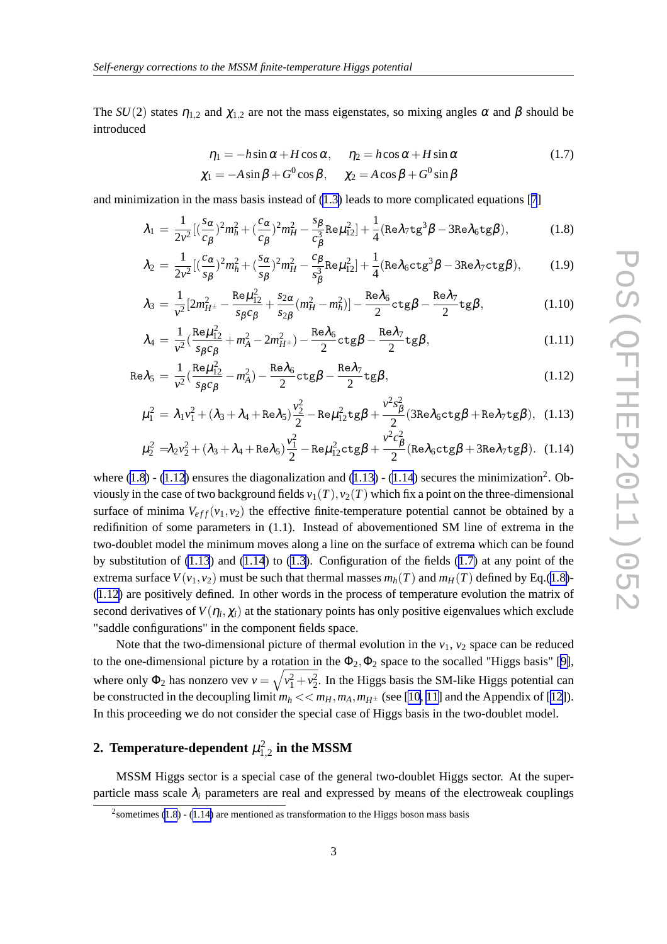<span id="page-2-0"></span>The *SU*(2) states  $\eta_{1,2}$  and  $\chi_{1,2}$  are not the mass eigenstates, so mixing angles  $\alpha$  and  $\beta$  should be introduced

$$
\eta_1 = -h\sin\alpha + H\cos\alpha, \quad \eta_2 = h\cos\alpha + H\sin\alpha
$$
  

$$
\chi_1 = -A\sin\beta + G^0\cos\beta, \quad \chi_2 = A\cos\beta + G^0\sin\beta
$$
 (1.7)

and minimization in the mass basis instead of  $(1.3)$  leads to more complicated equations [[7](#page-6-0)]

$$
\lambda_1 = \frac{1}{2v^2} \left[ \left( \frac{s_{\alpha}}{c_{\beta}} \right)^2 m_h^2 + \left( \frac{c_{\alpha}}{c_{\beta}} \right)^2 m_H^2 - \frac{s_{\beta}}{c_{\beta}^3} \text{Re} \mu_{12}^2 \right] + \frac{1}{4} (\text{Re} \lambda_7 \text{tg}^3 \beta - 3 \text{Re} \lambda_6 \text{tg} \beta),\tag{1.8}
$$

$$
\lambda_2 = \frac{1}{2v^2} [(\frac{c_{\alpha}}{s_{\beta}})^2 m_h^2 + (\frac{s_{\alpha}}{s_{\beta}})^2 m_H^2 - \frac{c_{\beta}}{s_{\beta}^3} \text{Re}\mu_{12}^2] + \frac{1}{4} (\text{Re}\lambda_6 \text{ctg}^3 \beta - 3\text{Re}\lambda_7 \text{ctg}\beta),\tag{1.9}
$$

$$
\lambda_3 = \frac{1}{v^2} [2m_{H^\pm}^2 - \frac{\text{Re}\mu_{12}^2}{s_\beta c_\beta} + \frac{s_{2\alpha}}{s_{2\beta}} (m_H^2 - m_h^2)] - \frac{\text{Re}\lambda_6}{2} \text{ctg}\beta - \frac{\text{Re}\lambda_7}{2} \text{tg}\beta, \tag{1.10}
$$

$$
\lambda_4 = \frac{1}{v^2} \left( \frac{\text{Re}\mu_{12}^2}{s_\beta c_\beta} + m_A^2 - 2m_{H^\pm}^2 \right) - \frac{\text{Re}\lambda_6}{2} \text{ctg}\beta - \frac{\text{Re}\lambda_7}{2} \text{tg}\beta, \tag{1.11}
$$

$$
\text{Re}\lambda_5 = \frac{1}{v^2} \left( \frac{\text{Re}\mu_{12}^2}{s_\beta c_\beta} - m_A^2 \right) - \frac{\text{Re}\lambda_6}{2} \text{ctg}\beta - \frac{\text{Re}\lambda_7}{2} \text{tg}\beta, \tag{1.12}
$$

$$
\mu_1^2 = \lambda_1 v_1^2 + (\lambda_3 + \lambda_4 + \text{Re}\lambda_5) \frac{v_2^2}{2} - \text{Re}\mu_{12}^2 \text{tg}\beta + \frac{v^2 s_\beta^2}{2} (3\text{Re}\lambda_6 \text{ctg}\beta + \text{Re}\lambda_7 \text{tg}\beta), \quad (1.13)
$$

$$
\mu_2^2 = \lambda_2 v_2^2 + (\lambda_3 + \lambda_4 + \text{Re}\lambda_5) \frac{v_1^2}{2} - \text{Re}\mu_{12}^2 \text{ctg}\beta + \frac{v^2 c_\beta^2}{2} (\text{Re}\lambda_6 \text{ctg}\beta + 3\text{Re}\lambda_7 \text{tg}\beta). \tag{1.14}
$$

where  $(1.8)$  -  $(1.12)$  ensures the diagonalization and  $(1.13)$  -  $(1.14)$  secures the minimization<sup>2</sup>. Obviously in the case of two background fields  $v_1(T)$ ,  $v_2(T)$  which fix a point on the three-dimensional surface of minima  $V_{eff}(v_1, v_2)$  the effective finite-temperature potential cannot be obtained by a redifinition of some parameters in (1.1). Instead of abovementioned SM line of extrema in the two-doublet model the minimum moves along a line on the surface of extrema which can be found by substitution of  $(1.13)$  and  $(1.14)$  to  $(1.3)$ . Configuration of the fields  $(1.7)$  at any point of the extrema surface  $V(v_1, v_2)$  must be such that thermal masses  $m_h(T)$  and  $m_H(T)$  defined by Eq.(1.8)-(1.12) are positively defined. In other words in the process of temperature evolution the matrix of second derivatives of  $V(\eta_i, \chi_i)$  at the stationary points has only positive eigenvalues which exclude "saddle configurations" in the component fields space.

Note that the two-dimensional picture of thermal evolution in the  $v_1$ ,  $v_2$  space can be reduced to the one-dimensional picture by a rotation in the  $\Phi_2, \Phi_2$  space to the socalled "Higgs basis" [\[9\]](#page-6-0), where only  $\Phi_2$  has nonzero vev  $v = \sqrt{v_1^2 + v_2^2}$ . In the Higgs basis the SM-like Higgs potential can be constructed in the decoupling limit  $m_h \ll m_H$ ,  $m_A$ ,  $m_{H^{\pm}}$  (see [\[10](#page-6-0), [11](#page-6-0)] and the Appendix of [\[12\]](#page-6-0)). In this proceeding we do not consider the special case of Higgs basis in the two-doublet model.

## 2. Temperature-dependent  $\mu_{1,2}^2$  in the MSSM

MSSM Higgs sector is a special case of the general two-doublet Higgs sector. At the superparticle mass scale  $\lambda_i$  parameters are real and expressed by means of the electroweak couplings

 $2$ sometimes (1.8) - (1.14) are mentioned as transformation to the Higgs boson mass basis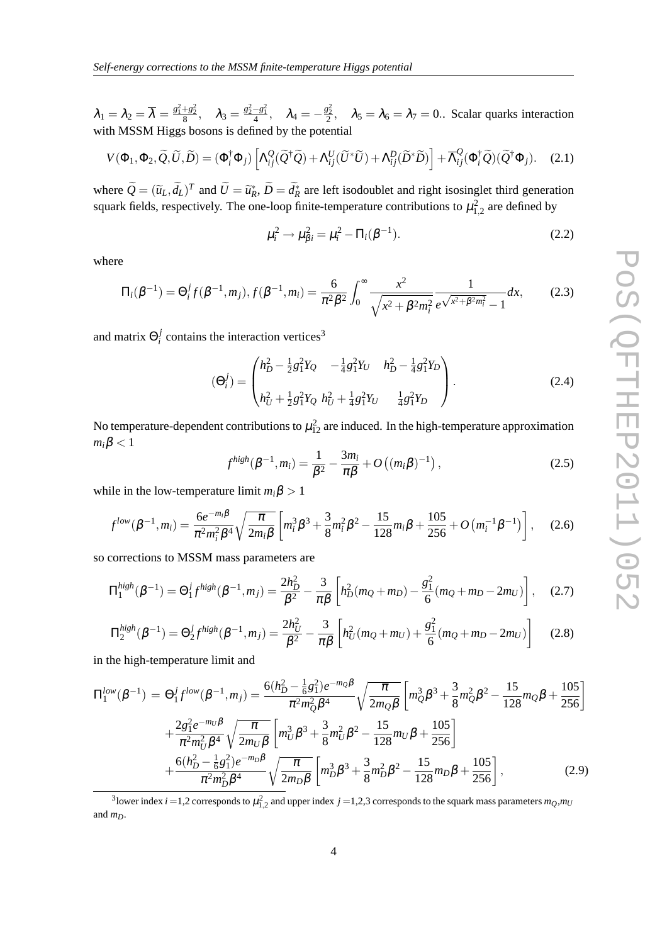<span id="page-3-0"></span> $\lambda_1 = \lambda_2 = \overline{\lambda} = \frac{g_1^2 + g_2^2}{8}$ ,  $\lambda_3 = \frac{g_2^2 - g_1^2}{4}$ ,  $\lambda_4 = -\frac{g_2^2}{2}$ ,  $\lambda_5 = \lambda_6 = \lambda_7 = 0$ . Scalar quarks interaction with MSSM Higgs bosons is defined by the potential

$$
V(\Phi_1, \Phi_2, \widetilde{Q}, \widetilde{U}, \widetilde{D}) = (\Phi_i^{\dagger} \Phi_j) \left[ \Lambda_{ij}^Q (\widetilde{Q}^{\dagger} \widetilde{Q}) + \Lambda_{ij}^U (\widetilde{U}^* \widetilde{U}) + \Lambda_{ij}^D (\widetilde{D}^* \widetilde{D}) \right] + \overline{\Lambda}_{ij}^Q (\Phi_i^{\dagger} \widetilde{Q}) (\widetilde{Q}^{\dagger} \Phi_j). \quad (2.1)
$$

where  $\widetilde{Q} = (\widetilde{u}_L, \widetilde{d}_L)^T$  and  $\widetilde{U} = \widetilde{u}_R^*, \widetilde{D} = \widetilde{d}_R^*$  are left isodoublet and right isosinglet third generation squark fields, respectively. The one-loop finite-temperature contributions to  $\mu_{1,2}^2$  are defined by

$$
\mu_i^2 \to \mu_{\beta i}^2 = \mu_i^2 - \Pi_i(\beta^{-1}).
$$
\n(2.2)

where

$$
\Pi_i(\beta^{-1}) = \Theta_i^j f(\beta^{-1}, m_j), f(\beta^{-1}, m_i) = \frac{6}{\pi^2 \beta^2} \int_0^\infty \frac{x^2}{\sqrt{x^2 + \beta^2 m_i^2}} \frac{1}{e^{\sqrt{x^2 + \beta^2 m_i^2}} - 1} dx,
$$
 (2.3)

and matrix  $\Theta_i^j$  $\frac{1}{i}$  contains the interaction vertices<sup>3</sup>

$$
(\Theta_i^j) = \begin{pmatrix} h_D^2 - \frac{1}{2}g_1^2 Y_Q & -\frac{1}{4}g_1^2 Y_U & h_D^2 - \frac{1}{4}g_1^2 Y_D \\ h_U^2 + \frac{1}{2}g_1^2 Y_Q & h_U^2 + \frac{1}{4}g_1^2 Y_U & \frac{1}{4}g_1^2 Y_D \end{pmatrix}.
$$
 (2.4)

No temperature-dependent contributions to  $\mu_{12}^2$  are induced. In the high-temperature approximation  $m_i\beta$  < 1

$$
f^{high}(\beta^{-1}, m_i) = \frac{1}{\beta^2} - \frac{3m_i}{\pi \beta} + O((m_i \beta)^{-1}), \qquad (2.5)
$$

while in the low-temperature limit  $m_i\beta > 1$ 

$$
f^{low}(\beta^{-1}, m_i) = \frac{6e^{-m_i\beta}}{\pi^2 m_i^2 \beta^4} \sqrt{\frac{\pi}{2m_i\beta}} \left[ m_i^3 \beta^3 + \frac{3}{8} m_i^2 \beta^2 - \frac{15}{128} m_i \beta + \frac{105}{256} + O\left( m_i^{-1} \beta^{-1} \right) \right], \quad (2.6)
$$

so corrections to MSSM mass parameters are

$$
\Pi_1^{high}(\beta^{-1}) = \Theta_1^j f^{high}(\beta^{-1}, m_j) = \frac{2h_D^2}{\beta^2} - \frac{3}{\pi \beta} \left[ h_D^2(m_Q + m_D) - \frac{g_1^2}{6}(m_Q + m_D - 2m_U) \right], \quad (2.7)
$$

$$
\Pi_2^{\text{high}}(\beta^{-1}) = \Theta_2^j f^{\text{high}}(\beta^{-1}, m_j) = \frac{2h_U^2}{\beta^2} - \frac{3}{\pi \beta} \left[ h_U^2(m_Q + m_U) + \frac{g_1^2}{6}(m_Q + m_D - 2m_U) \right]
$$
(2.8)

in the high-temperature limit and

$$
\Pi_{1}^{low}(\beta^{-1}) = \Theta_{1}^{j}f^{low}(\beta^{-1},m_{j}) = \frac{6(h_{D}^{2}-\frac{1}{6}g_{1}^{2})e^{-m_{Q}\beta}}{\pi^{2}m_{Q}^{2}\beta^{4}}\sqrt{\frac{\pi}{2m_{Q}\beta}}\left[m_{Q}^{3}\beta^{3}+\frac{3}{8}m_{Q}^{2}\beta^{2}-\frac{15}{128}m_{Q}\beta+\frac{105}{256}\right] + \frac{2g_{1}^{2}e^{-m_{U}\beta}}{\pi^{2}m_{U}^{2}\beta^{4}}\sqrt{\frac{\pi}{2m_{U}\beta}}\left[m_{U}^{3}\beta^{3}+\frac{3}{8}m_{U}^{2}\beta^{2}-\frac{15}{128}m_{U}\beta+\frac{105}{256}\right] + \frac{6(h_{D}^{2}-\frac{1}{6}g_{1}^{2})e^{-m_{D}\beta}}{\pi^{2}m_{D}^{2}\beta^{4}}\sqrt{\frac{\pi}{2m_{D}\beta}}\left[m_{D}^{3}\beta^{3}+\frac{3}{8}m_{D}^{2}\beta^{2}-\frac{15}{128}m_{D}\beta+\frac{105}{256}\right],
$$
\n(2.9)

<sup>3</sup> lower index *i* =1,2 corresponds to  $\mu_{1,2}^2$  and upper index *j* =1,2,3 corresponds to the squark mass parameters  $m_Q, m_U$ and *mD*.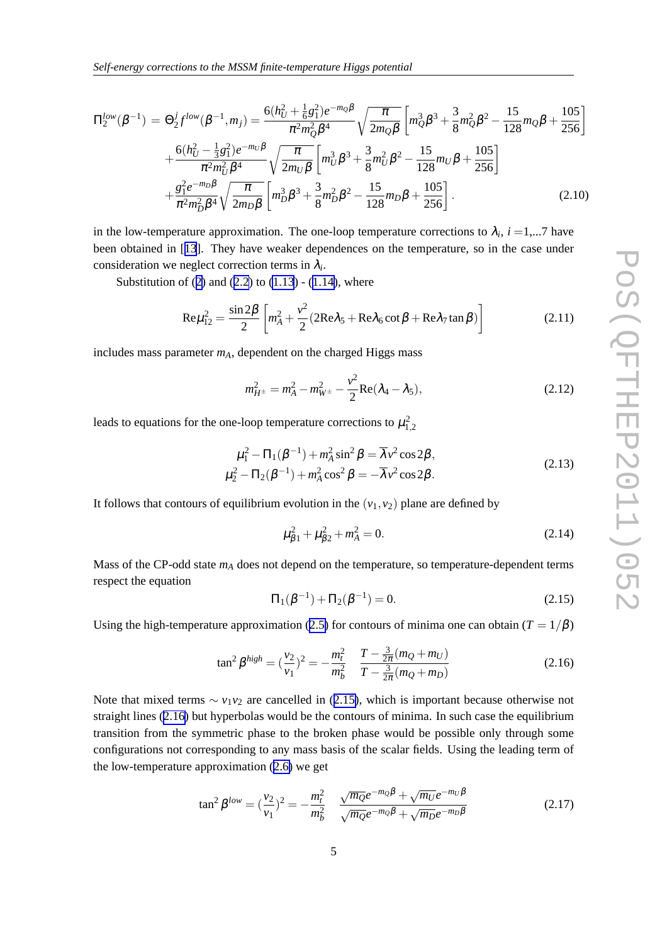<span id="page-4-0"></span>
$$
\Pi_{2}^{low}(\beta^{-1}) = \Theta_{2}^{j}f^{low}(\beta^{-1},m_{j}) = \frac{6(h_{U}^{2} + \frac{1}{6}g_{1}^{2})e^{-m_{Q}\beta}}{\pi^{2}m_{Q}^{2}\beta^{4}}\sqrt{\frac{\pi}{2m_{Q}\beta}}\left[m_{Q}^{3}\beta^{3} + \frac{3}{8}m_{Q}^{2}\beta^{2} - \frac{15}{128}m_{Q}\beta + \frac{105}{256}\right] + \frac{6(h_{U}^{2} - \frac{1}{3}g_{1}^{2})e^{-m_{U}\beta}}{\pi^{2}m_{U}^{2}\beta^{4}}\sqrt{\frac{\pi}{2m_{U}\beta}}\left[m_{U}^{3}\beta^{3} + \frac{3}{8}m_{U}^{2}\beta^{2} - \frac{15}{128}m_{U}\beta + \frac{105}{256}\right] + \frac{g_{1}^{2}e^{-m_{D}\beta}}{\pi^{2}m_{D}^{2}\beta^{4}}\sqrt{\frac{\pi}{2m_{D}\beta}}\left[m_{D}^{3}\beta^{3} + \frac{3}{8}m_{D}^{2}\beta^{2} - \frac{15}{128}m_{D}\beta + \frac{105}{256}\right].
$$
\n(2.10)

in the low-temperature approximation. The one-loop temperature corrections to  $\lambda_i$ ,  $i = 1,...7$  have been obtained in [[13](#page-6-0)]. They have weaker dependences on the temperature, so in the case under consideration we neglect correction terms in  $\lambda_i$ .

Substitution of ([2](#page-3-0)) and ([2.2](#page-3-0)) to  $(1.13)$  $(1.13)$  -  $(1.14)$  $(1.14)$ , where

$$
\text{Re}\mu_{12}^2 = \frac{\sin 2\beta}{2} \left[ m_A^2 + \frac{v^2}{2} (2\text{Re}\lambda_5 + \text{Re}\lambda_6 \cot \beta + \text{Re}\lambda_7 \tan \beta) \right]
$$
(2.11)

includes mass parameter *mA*, dependent on the charged Higgs mass

$$
m_{H^{\pm}}^2 = m_A^2 - m_{W^{\pm}}^2 - \frac{v^2}{2} \text{Re}(\lambda_4 - \lambda_5), \tag{2.12}
$$

leads to equations for the one-loop temperature corrections to  $\mu_{1,2}^2$ 

$$
\mu_1^2 - \Pi_1(\beta^{-1}) + m_A^2 \sin^2 \beta = \overline{\lambda} v^2 \cos 2\beta, \n\mu_2^2 - \Pi_2(\beta^{-1}) + m_A^2 \cos^2 \beta = -\overline{\lambda} v^2 \cos 2\beta.
$$
\n(2.13)

It follows that contours of equilibrium evolution in the  $(v_1, v_2)$  plane are defined by

$$
\mu_{\beta 1}^2 + \mu_{\beta 2}^2 + m_A^2 = 0. \tag{2.14}
$$

Mass of the CP-odd state *m<sup>A</sup>* does not depend on the temperature, so temperature-dependent terms respect the equation

$$
\Pi_1(\beta^{-1}) + \Pi_2(\beta^{-1}) = 0.
$$
\n(2.15)

Using the high-temperature approximation ([2.5\)](#page-3-0) for contours of minima one can obtain ( $T = 1/\beta$ )

$$
\tan^2 \beta^{high} = \left(\frac{v_2}{v_1}\right)^2 = -\frac{m_t^2}{m_b^2} \quad \frac{T - \frac{3}{2\pi}(m_Q + m_U)}{T - \frac{3}{2\pi}(m_Q + m_D)}\tag{2.16}
$$

Note that mixed terms  $\sim v_1v_2$  are cancelled in (2.15), which is important because otherwise not straight lines (2.16) but hyperbolas would be the contours of minima. In such case the equilibrium transition from the symmetric phase to the broken phase would be possible only through some configurations not corresponding to any mass basis of the scalar fields. Using the leading term of the low-temperature approximation ([2.6\)](#page-3-0) we get

$$
\tan^2 \beta^{low} = (\frac{v_2}{v_1})^2 = -\frac{m_t^2}{m_b^2} \frac{\sqrt{m_Q}e^{-m_Q\beta} + \sqrt{m_U}e^{-m_U\beta}}{\sqrt{m_Q}e^{-m_Q\beta} + \sqrt{m_D}e^{-m_D\beta}}
$$
(2.17)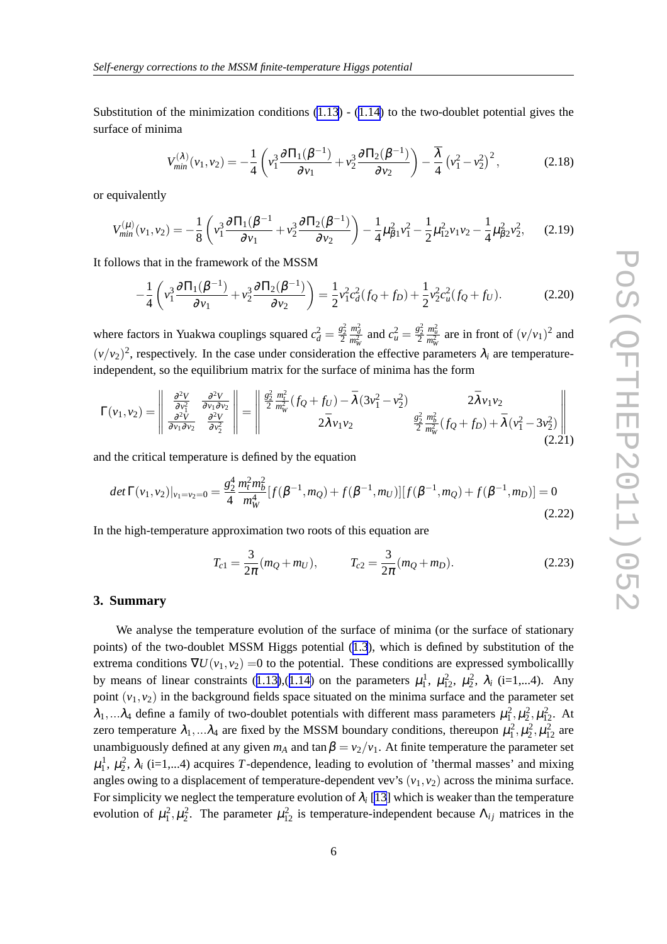<span id="page-5-0"></span>Substitution of the minimization conditions  $(1.13)$  $(1.13)$  -  $(1.14)$  $(1.14)$  $(1.14)$  to the two-doublet potential gives the surface of minima

$$
V_{min}^{(\lambda)}(v_1, v_2) = -\frac{1}{4} \left( v_1^3 \frac{\partial \Pi_1(\beta^{-1})}{\partial v_1} + v_2^3 \frac{\partial \Pi_2(\beta^{-1})}{\partial v_2} \right) - \frac{\overline{\lambda}}{4} \left( v_1^2 - v_2^2 \right)^2, \tag{2.18}
$$

or equivalently

$$
V_{min}^{(\mu)}(\nu_1,\nu_2) = -\frac{1}{8} \left( \nu_1^3 \frac{\partial \Pi_1(\beta^{-1}}{\partial \nu_1} + \nu_2^3 \frac{\partial \Pi_2(\beta^{-1})}{\partial \nu_2} \right) - \frac{1}{4} \mu_{\beta 1}^2 \nu_1^2 - \frac{1}{2} \mu_{12}^2 \nu_1 \nu_2 - \frac{1}{4} \mu_{\beta 2}^2 \nu_2^2, \tag{2.19}
$$

It follows that in the framework of the MSSM

$$
-\frac{1}{4}\left(v_1^3\frac{\partial\Pi_1(\beta^{-1})}{\partial v_1} + v_2^3\frac{\partial\Pi_2(\beta^{-1})}{\partial v_2}\right) = \frac{1}{2}v_1^2c_d^2(f_Q + f_D) + \frac{1}{2}v_2^2c_u^2(f_Q + f_U). \tag{2.20}
$$

where factors in Yuakwa couplings squared  $c_d^2 = \frac{g_2^2}{2}$  $\frac{m_d^2}{m_W^2}$  and  $c_u^2 = \frac{g_2^2}{2}$  $\frac{m_u^2}{m_W^2}$  are in front of  $(v/v_1)^2$  and  $(v/v_2)^2$ , respectively. In the case under consideration the effective parameters  $\lambda_i$  are temperatureindependent, so the equilibrium matrix for the surface of minima has the form

$$
\Gamma(\nu_1, \nu_2) = \begin{vmatrix} \frac{\partial^2 V}{\partial \nu_1^2} & \frac{\partial^2 V}{\partial \nu_1 \partial \nu_2} \\ \frac{\partial^2 V}{\partial \nu_1 \partial \nu_2} & \frac{\partial^2 V}{\partial \nu_2^2} \end{vmatrix} = \begin{vmatrix} \frac{g_2^2}{2} \frac{m_t^2}{m_W^2} (f_Q + f_U) - \bar{\lambda} (3\nu_1^2 - \nu_2^2) & 2\bar{\lambda} \nu_1 \nu_2 \\ 2\bar{\lambda} \nu_1 \nu_2 & \frac{g_2^2}{2} \frac{m_b^2}{m_W^2} (f_Q + f_D) + \bar{\lambda} (\nu_1^2 - 3\nu_2^2) \end{vmatrix}
$$
(2.21)

and the critical temperature is defined by the equation

$$
det \Gamma(v_1, v_2)|_{v_1 = v_2 = 0} = \frac{g_2^4}{4} \frac{m_t^2 m_b^2}{m_W^4} [f(\beta^{-1}, m_Q) + f(\beta^{-1}, m_U)][f(\beta^{-1}, m_Q) + f(\beta^{-1}, m_D)] = 0
$$
\n(2.22)

In the high-temperature approximation two roots of this equation are

$$
T_{c1} = \frac{3}{2\pi}(m_Q + m_U), \qquad T_{c2} = \frac{3}{2\pi}(m_Q + m_D). \tag{2.23}
$$

#### **3. Summary**

We analyse the temperature evolution of the surface of minima (or the surface of stationary points) of the two-doublet MSSM Higgs potential ([1.3](#page-1-0)), which is defined by substitution of the extrema conditions  $\nabla U(v_1, v_2) = 0$  to the potential. These conditions are expressed symbolicallly by means of linear constraints ([1.13\)](#page-2-0),([1.14\)](#page-2-0) on the parameters  $\mu_1^1$ ,  $\mu_{12}^2$ ,  $\mu_2^2$ ,  $\lambda_i$  (i=1,...4). Any point  $(v_1, v_2)$  in the background fields space situated on the minima surface and the parameter set  $\lambda_1,...\lambda_4$  define a family of two-doublet potentials with different mass parameters  $\mu_1^2, \mu_2^2, \mu_{12}^2$ . At zero temperature  $\lambda_1,...\lambda_4$  are fixed by the MSSM boundary conditions, thereupon  $\mu_1^2, \mu_2^2, \mu_{12}^2$  are unambiguously defined at any given  $m_A$  and  $\tan \beta = v_2/v_1$ . At finite temperature the parameter set  $\mu_1^1$ ,  $\mu_2^2$ ,  $\lambda_i$  (i=1,...4) acquires *T*-dependence, leading to evolution of 'thermal masses' and mixing angles owing to a displacement of temperature-dependent vev's  $(v_1, v_2)$  across the minima surface. For simplicity we neglect the temperature evolution of  $\lambda_i$  [\[13](#page-6-0)] which is weaker than the temperature evolution of  $\mu_1^2, \mu_2^2$ . The parameter  $\mu_{12}^2$  is temperature-independent because  $\Lambda_{ij}$  matrices in the